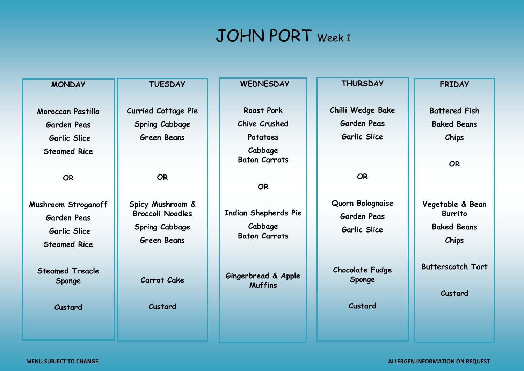### JOHN PORT Week 1

| <b>MONDAY</b>          | <b>TUESDAY</b>             | <b>WEDNESDAY</b>                      | <b>THURSDAY</b>        | <b>FRIDAY</b>            |
|------------------------|----------------------------|---------------------------------------|------------------------|--------------------------|
|                        |                            |                                       |                        |                          |
| Moroccan Pastilla      | <b>Curried Cottage Pie</b> | <b>Roast Pork</b>                     | Chilli Wedge Bake      | <b>Battered Fish</b>     |
| <b>Garden Peas</b>     | Spring Cabbage             | <b>Chive Crushed</b>                  | <b>Garden Peas</b>     | <b>Baked Beans</b>       |
| <b>Garlic Slice</b>    | <b>Green Beans</b>         | Potatoes                              | Garlic Slice           | Chips                    |
| <b>Steamed Rice</b>    |                            | Cabbage                               |                        |                          |
|                        |                            | <b>Baton Carrots</b>                  |                        | <b>OR</b>                |
| <b>OR</b>              | <b>OR</b>                  |                                       | <b>OR</b>              |                          |
|                        |                            | <b>OR</b>                             |                        |                          |
| Mushroom Stroganoff    | Spicy Mushroom &           |                                       | Quorn Bolognaise       | Vegetable & Bean         |
| <b>Garden Peas</b>     | <b>Broccoli Noodles</b>    | <b>Indian Shepherds Pie</b>           | <b>Garden Peas</b>     | <b>Burrito</b>           |
| <b>Garlic Slice</b>    | <b>Spring Cabbage</b>      | Cabbage                               | Garlic Slice           | <b>Baked Beans</b>       |
| <b>Steamed Rice</b>    | <b>Green Beans</b>         | <b>Baton Carrots</b>                  |                        | <b>Chips</b>             |
|                        |                            |                                       |                        |                          |
| <b>Steamed Treacle</b> |                            |                                       | <b>Chocolate Fudge</b> | <b>Butterscotch Tart</b> |
| <b>Sponge</b>          | Carrot Cake                | Gingerbread & Apple<br><b>Muffins</b> | Sponge                 |                          |
|                        |                            |                                       |                        | Custard                  |
| Custard                | Custard                    |                                       | Custard                |                          |
|                        |                            |                                       |                        |                          |
|                        |                            |                                       |                        |                          |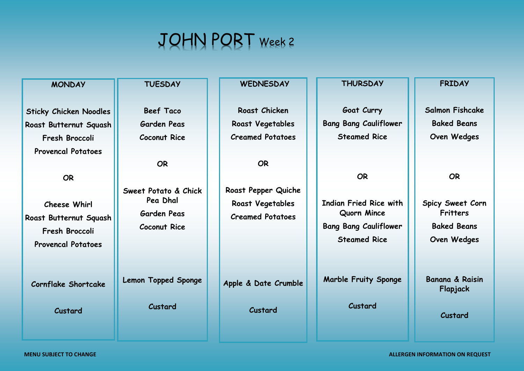## JOHN PORT Week 2

**Sticky Chicken Noodles Roast Butternut Squash Fresh Broccoli Provencal Potatoes**

**MONDAY**

**OR**

**Cheese Whirl Roast Butternut Squash Fresh Broccoli Provencal Potatoes**

**Cornflake Shortcake**

**Custard**

### **TUESDAY**

**Beef Taco Garden Peas Coconut Rice**

**OR**

**Sweet Potato & Chick Pea Dhal Garden Peas Coconut Rice**

**Lemon Topped Sponge**

**Custard**

**WEDNESDAY**

**Roast Chicken Roast Vegetables Creamed Potatoes**

**OR**

**Roast Pepper Quiche Roast Vegetables Creamed Potatoes**

**Apple & Date Crumble**

**Custard**

#### **THURSDAY**

**Goat Curry Bang Bang Cauliflower Steamed Rice**

**OR**

**Indian Fried Rice with Quorn Mince Bang Bang Cauliflower Steamed Rice**

**Marble Fruity Sponge**

**Custard**

#### **FRIDAY**

**Salmon Fishcake Baked Beans Oven Wedges**

**OR**

**Spicy Sweet Corn Fritters Baked Beans Oven Wedges**

**Banana & Raisin Flapjack**

**Custard**